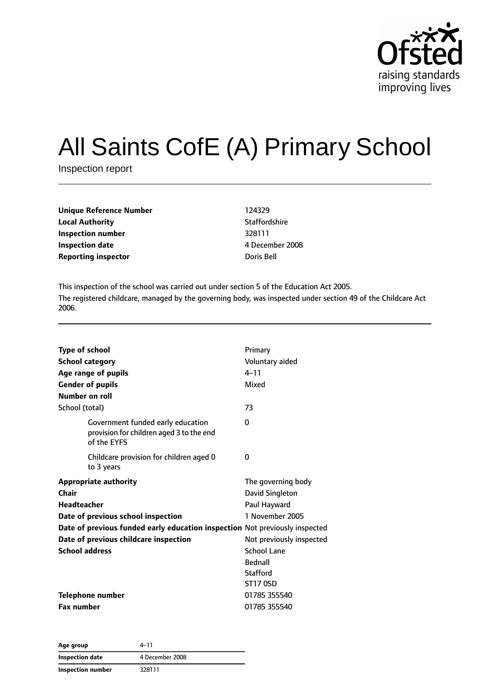

# All Saints CofE (A) Primary School

Inspection report

| Unique Reference Number    | 124329     |
|----------------------------|------------|
| <b>Local Authority</b>     | Staffordsh |
| Inspection number          | 328111     |
| Inspection date            | 4 Decemb   |
| <b>Reporting inspector</b> | Doris Bell |

**Staffordshire Inspection date** 4 December 2008

This inspection of the school was carried out under section 5 of the Education Act 2005. The registered childcare, managed by the governing body, was inspected under section 49 of the Childcare Act 2006.

| <b>Type of school</b>                                                                        | Primary                  |
|----------------------------------------------------------------------------------------------|--------------------------|
| <b>School category</b>                                                                       | Voluntary aided          |
| Age range of pupils                                                                          | $4 - 11$                 |
| <b>Gender of pupils</b>                                                                      | Mixed                    |
| Number on roll                                                                               |                          |
| School (total)                                                                               | 73                       |
| Government funded early education<br>provision for children aged 3 to the end<br>of the EYFS | 0                        |
| Childcare provision for children aged 0<br>to 3 years                                        | 0                        |
| <b>Appropriate authority</b>                                                                 | The governing body       |
| Chair                                                                                        | David Singleton          |
| <b>Headteacher</b>                                                                           | Paul Hayward             |
| Date of previous school inspection                                                           | 1 November 2005          |
| Date of previous funded early education inspection Not previously inspected                  |                          |
| Date of previous childcare inspection                                                        | Not previously inspected |
| <b>School address</b>                                                                        | <b>School Lane</b>       |
|                                                                                              | <b>Bednall</b>           |
|                                                                                              | <b>Stafford</b>          |
|                                                                                              | <b>ST17 0SD</b>          |
| <b>Telephone number</b>                                                                      | 01785 355540             |
| <b>Fax number</b>                                                                            | 01785 355540             |

| Age group         | 4–11            |  |
|-------------------|-----------------|--|
| Inspection date   | 4 December 2008 |  |
| Inspection number | 328111          |  |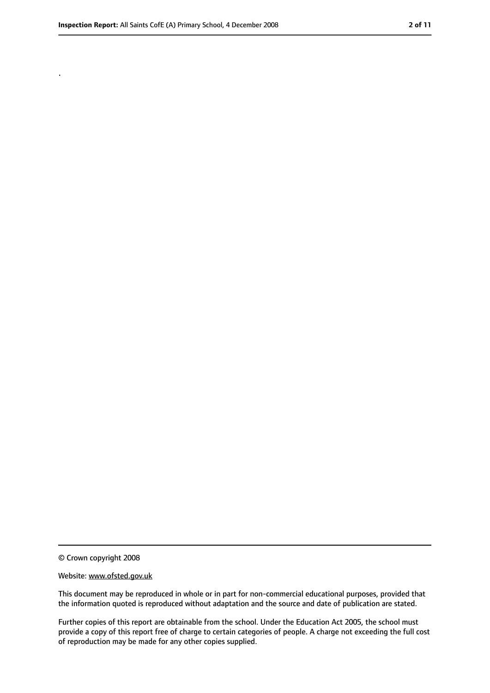.

<sup>©</sup> Crown copyright 2008

Website: www.ofsted.gov.uk

This document may be reproduced in whole or in part for non-commercial educational purposes, provided that the information quoted is reproduced without adaptation and the source and date of publication are stated.

Further copies of this report are obtainable from the school. Under the Education Act 2005, the school must provide a copy of this report free of charge to certain categories of people. A charge not exceeding the full cost of reproduction may be made for any other copies supplied.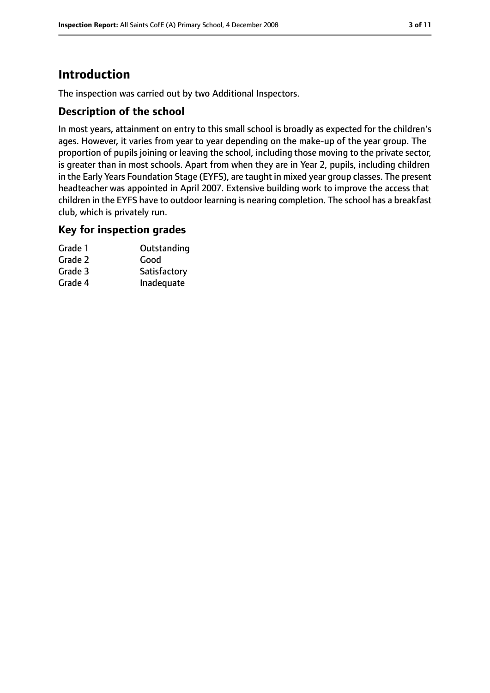# **Introduction**

The inspection was carried out by two Additional Inspectors.

## **Description of the school**

In most years, attainment on entry to this small school is broadly as expected for the children's ages. However, it varies from year to year depending on the make-up of the year group. The proportion of pupils joining or leaving the school, including those moving to the private sector, is greater than in most schools. Apart from when they are in Year 2, pupils, including children in the Early Years Foundation Stage (EYFS), are taught in mixed year group classes. The present headteacher was appointed in April 2007. Extensive building work to improve the access that children in the EYFS have to outdoor learning is nearing completion. The school has a breakfast club, which is privately run.

#### **Key for inspection grades**

| Grade 1 | Outstanding  |
|---------|--------------|
| Grade 2 | Good         |
| Grade 3 | Satisfactory |
| Grade 4 | Inadequate   |
|         |              |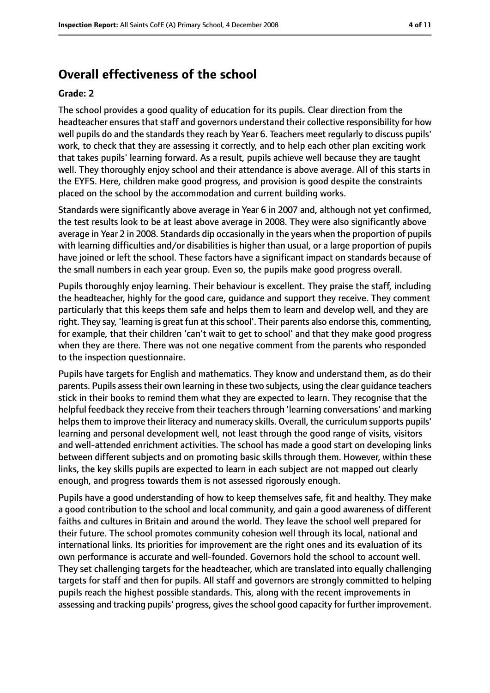## **Overall effectiveness of the school**

#### **Grade: 2**

The school provides a good quality of education for its pupils. Clear direction from the headteacher ensures that staff and governors understand their collective responsibility for how well pupils do and the standards they reach by Year 6. Teachers meet regularly to discuss pupils' work, to check that they are assessing it correctly, and to help each other plan exciting work that takes pupils' learning forward. As a result, pupils achieve well because they are taught well. They thoroughly enjoy school and their attendance is above average. All of this starts in the EYFS. Here, children make good progress, and provision is good despite the constraints placed on the school by the accommodation and current building works.

Standards were significantly above average in Year 6 in 2007 and, although not yet confirmed, the test results look to be at least above average in 2008. They were also significantly above average in Year 2 in 2008. Standards dip occasionally in the years when the proportion of pupils with learning difficulties and/or disabilities is higher than usual, or a large proportion of pupils have joined or left the school. These factors have a significant impact on standards because of the small numbers in each year group. Even so, the pupils make good progress overall.

Pupils thoroughly enjoy learning. Their behaviour is excellent. They praise the staff, including the headteacher, highly for the good care, guidance and support they receive. They comment particularly that this keeps them safe and helps them to learn and develop well, and they are right. They say, 'learning is great fun at this school'. Their parents also endorse this, commenting, for example, that their children 'can't wait to get to school' and that they make good progress when they are there. There was not one negative comment from the parents who responded to the inspection questionnaire.

Pupils have targets for English and mathematics. They know and understand them, as do their parents. Pupils assesstheir own learning in these two subjects, using the clear guidance teachers stick in their books to remind them what they are expected to learn. They recognise that the helpful feedback they receive from their teachers through 'learning conversations' and marking helps them to improve their literacy and numeracy skills. Overall, the curriculum supports pupils' learning and personal development well, not least through the good range of visits, visitors and well-attended enrichment activities. The school has made a good start on developing links between different subjects and on promoting basic skills through them. However, within these links, the key skills pupils are expected to learn in each subject are not mapped out clearly enough, and progress towards them is not assessed rigorously enough.

Pupils have a good understanding of how to keep themselves safe, fit and healthy. They make a good contribution to the school and local community, and gain a good awareness of different faiths and cultures in Britain and around the world. They leave the school well prepared for their future. The school promotes community cohesion well through its local, national and international links. Its priorities for improvement are the right ones and its evaluation of its own performance is accurate and well-founded. Governors hold the school to account well. They set challenging targets for the headteacher, which are translated into equally challenging targets for staff and then for pupils. All staff and governors are strongly committed to helping pupils reach the highest possible standards. This, along with the recent improvements in assessing and tracking pupils' progress, gives the school good capacity for further improvement.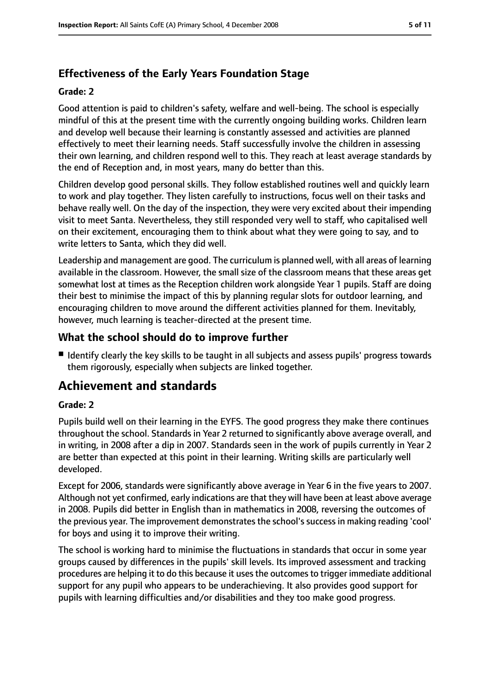# **Effectiveness of the Early Years Foundation Stage**

#### **Grade: 2**

Good attention is paid to children's safety, welfare and well-being. The school is especially mindful of this at the present time with the currently ongoing building works. Children learn and develop well because their learning is constantly assessed and activities are planned effectively to meet their learning needs. Staff successfully involve the children in assessing their own learning, and children respond well to this. They reach at least average standards by the end of Reception and, in most years, many do better than this.

Children develop good personal skills. They follow established routines well and quickly learn to work and play together. They listen carefully to instructions, focus well on their tasks and behave really well. On the day of the inspection, they were very excited about their impending visit to meet Santa. Nevertheless, they still responded very well to staff, who capitalised well on their excitement, encouraging them to think about what they were going to say, and to write letters to Santa, which they did well.

Leadership and management are good. The curriculum is planned well, with all areas of learning available in the classroom. However, the small size of the classroom means that these areas get somewhat lost at times as the Reception children work alongside Year 1 pupils. Staff are doing their best to minimise the impact of this by planning regular slots for outdoor learning, and encouraging children to move around the different activities planned for them. Inevitably, however, much learning is teacher-directed at the present time.

## **What the school should do to improve further**

■ Identify clearly the key skills to be taught in all subjects and assess pupils' progress towards them rigorously, especially when subjects are linked together.

# **Achievement and standards**

#### **Grade: 2**

Pupils build well on their learning in the EYFS. The good progress they make there continues throughout the school. Standards in Year 2 returned to significantly above average overall, and in writing, in 2008 after a dip in 2007. Standards seen in the work of pupils currently in Year 2 are better than expected at this point in their learning. Writing skills are particularly well developed.

Except for 2006, standards were significantly above average in Year 6 in the five years to 2007. Although not yet confirmed, early indications are that they will have been at least above average in 2008. Pupils did better in English than in mathematics in 2008, reversing the outcomes of the previous year. The improvement demonstrates the school's success in making reading 'cool' for boys and using it to improve their writing.

The school is working hard to minimise the fluctuations in standards that occur in some year groups caused by differences in the pupils' skill levels. Its improved assessment and tracking procedures are helping it to do this because it usesthe outcomesto trigger immediate additional support for any pupil who appears to be underachieving. It also provides good support for pupils with learning difficulties and/or disabilities and they too make good progress.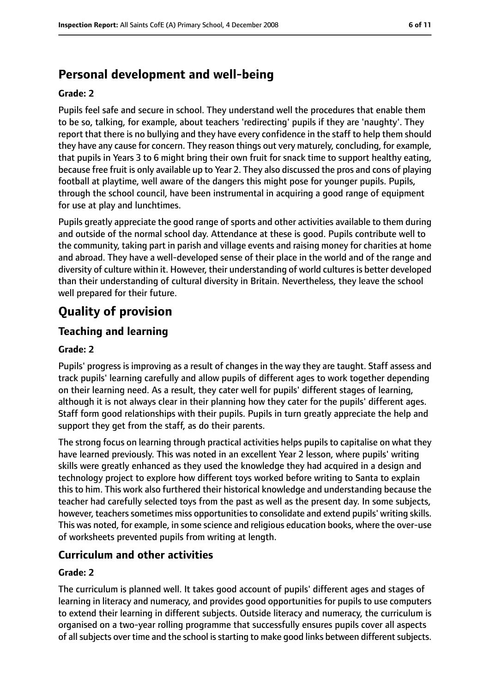# **Personal development and well-being**

#### **Grade: 2**

Pupils feel safe and secure in school. They understand well the procedures that enable them to be so, talking, for example, about teachers 'redirecting' pupils if they are 'naughty'. They report that there is no bullying and they have every confidence in the staff to help them should they have any cause for concern. They reason things out very maturely, concluding, for example, that pupils in Years 3 to 6 might bring their own fruit for snack time to support healthy eating, because free fruit is only available up to Year 2. They also discussed the pros and cons of playing football at playtime, well aware of the dangers this might pose for younger pupils. Pupils, through the school council, have been instrumental in acquiring a good range of equipment for use at play and lunchtimes.

Pupils greatly appreciate the good range of sports and other activities available to them during and outside of the normal school day. Attendance at these is good. Pupils contribute well to the community, taking part in parish and village events and raising money for charities at home and abroad. They have a well-developed sense of their place in the world and of the range and diversity of culture within it. However, their understanding of world culturesis better developed than their understanding of cultural diversity in Britain. Nevertheless, they leave the school well prepared for their future.

# **Quality of provision**

## **Teaching and learning**

#### **Grade: 2**

Pupils' progress is improving as a result of changes in the way they are taught. Staff assess and track pupils' learning carefully and allow pupils of different ages to work together depending on their learning need. As a result, they cater well for pupils' different stages of learning, although it is not always clear in their planning how they cater for the pupils' different ages. Staff form good relationships with their pupils. Pupils in turn greatly appreciate the help and support they get from the staff, as do their parents.

The strong focus on learning through practical activities helps pupils to capitalise on what they have learned previously. This was noted in an excellent Year 2 lesson, where pupils' writing skills were greatly enhanced as they used the knowledge they had acquired in a design and technology project to explore how different toys worked before writing to Santa to explain this to him. This work also furthered their historical knowledge and understanding because the teacher had carefully selected toys from the past as well as the present day. In some subjects, however, teachers sometimes miss opportunities to consolidate and extend pupils' writing skills. This was noted, for example, in some science and religious education books, where the over-use of worksheets prevented pupils from writing at length.

#### **Curriculum and other activities**

#### **Grade: 2**

The curriculum is planned well. It takes good account of pupils' different ages and stages of learning in literacy and numeracy, and provides good opportunities for pupils to use computers to extend their learning in different subjects. Outside literacy and numeracy, the curriculum is organised on a two-year rolling programme that successfully ensures pupils cover all aspects of all subjects over time and the school is starting to make good links between different subjects.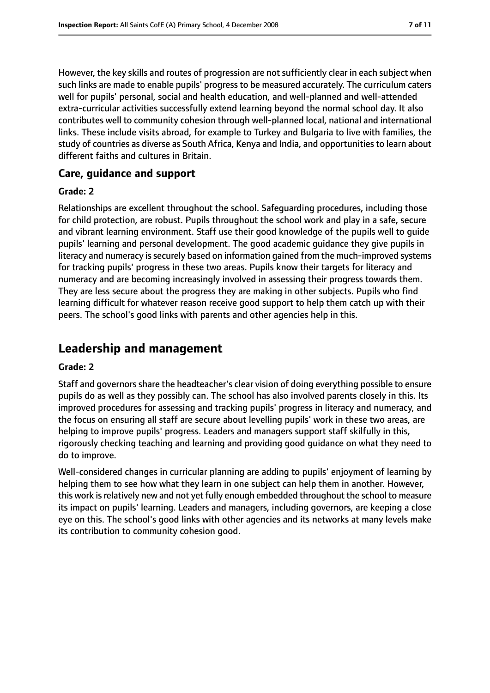However, the key skills and routes of progression are not sufficiently clear in each subject when such links are made to enable pupils' progress to be measured accurately. The curriculum caters well for pupils' personal, social and health education, and well-planned and well-attended extra-curricular activities successfully extend learning beyond the normal school day. It also contributes well to community cohesion through well-planned local, national and international links. These include visits abroad, for example to Turkey and Bulgaria to live with families, the study of countries as diverse as South Africa, Kenya and India, and opportunities to learn about different faiths and cultures in Britain.

## **Care, guidance and support**

#### **Grade: 2**

Relationships are excellent throughout the school. Safeguarding procedures, including those for child protection, are robust. Pupils throughout the school work and play in a safe, secure and vibrant learning environment. Staff use their good knowledge of the pupils well to guide pupils' learning and personal development. The good academic guidance they give pupils in literacy and numeracy is securely based on information gained from the much-improved systems for tracking pupils' progress in these two areas. Pupils know their targets for literacy and numeracy and are becoming increasingly involved in assessing their progress towards them. They are less secure about the progress they are making in other subjects. Pupils who find learning difficult for whatever reason receive good support to help them catch up with their peers. The school's good links with parents and other agencies help in this.

# **Leadership and management**

#### **Grade: 2**

Staff and governors share the headteacher's clear vision of doing everything possible to ensure pupils do as well as they possibly can. The school has also involved parents closely in this. Its improved procedures for assessing and tracking pupils' progress in literacy and numeracy, and the focus on ensuring all staff are secure about levelling pupils' work in these two areas, are helping to improve pupils' progress. Leaders and managers support staff skilfully in this, rigorously checking teaching and learning and providing good guidance on what they need to do to improve.

Well-considered changes in curricular planning are adding to pupils' enjoyment of learning by helping them to see how what they learn in one subject can help them in another. However, this work is relatively new and not yet fully enough embedded throughout the school to measure its impact on pupils' learning. Leaders and managers, including governors, are keeping a close eye on this. The school's good links with other agencies and its networks at many levels make its contribution to community cohesion good.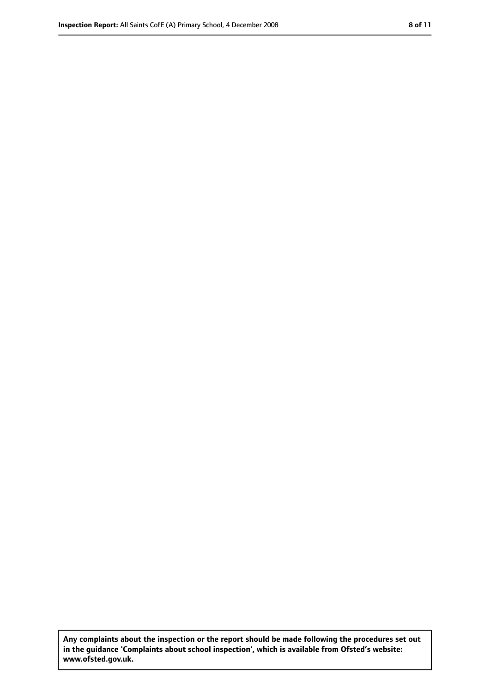**Any complaints about the inspection or the report should be made following the procedures set out in the guidance 'Complaints about school inspection', which is available from Ofsted's website: www.ofsted.gov.uk.**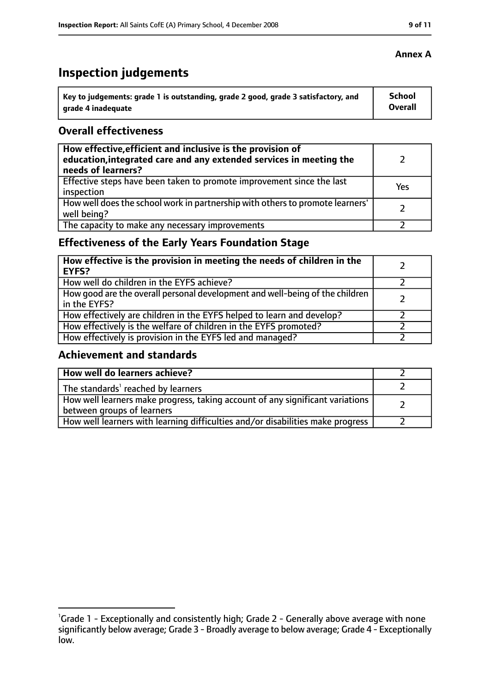# **Inspection judgements**

| Key to judgements: grade 1 is outstanding, grade 2 good, grade 3 satisfactory, and | School  |
|------------------------------------------------------------------------------------|---------|
| arade 4 inadequate                                                                 | Overall |

## **Overall effectiveness**

| How effective, efficient and inclusive is the provision of<br>education, integrated care and any extended services in meeting the<br>needs of learners? |     |
|---------------------------------------------------------------------------------------------------------------------------------------------------------|-----|
| Effective steps have been taken to promote improvement since the last<br>inspection                                                                     | Yes |
| How well does the school work in partnership with others to promote learners'<br>well being?                                                            |     |
| The capacity to make any necessary improvements                                                                                                         |     |

# **Effectiveness of the Early Years Foundation Stage**

| How effective is the provision in meeting the needs of children in the<br><b>EYFS?</b>       |  |
|----------------------------------------------------------------------------------------------|--|
| How well do children in the EYFS achieve?                                                    |  |
| How good are the overall personal development and well-being of the children<br>in the EYFS? |  |
| How effectively are children in the EYFS helped to learn and develop?                        |  |
| How effectively is the welfare of children in the EYFS promoted?                             |  |
| How effectively is provision in the EYFS led and managed?                                    |  |

## **Achievement and standards**

| How well do learners achieve?                                                                               |  |
|-------------------------------------------------------------------------------------------------------------|--|
| The standards <sup>1</sup> reached by learners                                                              |  |
| How well learners make progress, taking account of any significant variations<br>between groups of learners |  |
| How well learners with learning difficulties and/or disabilities make progress                              |  |

<sup>&</sup>lt;sup>1</sup>Grade 1 - Exceptionally and consistently high; Grade 2 - Generally above average with none significantly below average; Grade 3 - Broadly average to below average; Grade 4 - Exceptionally low.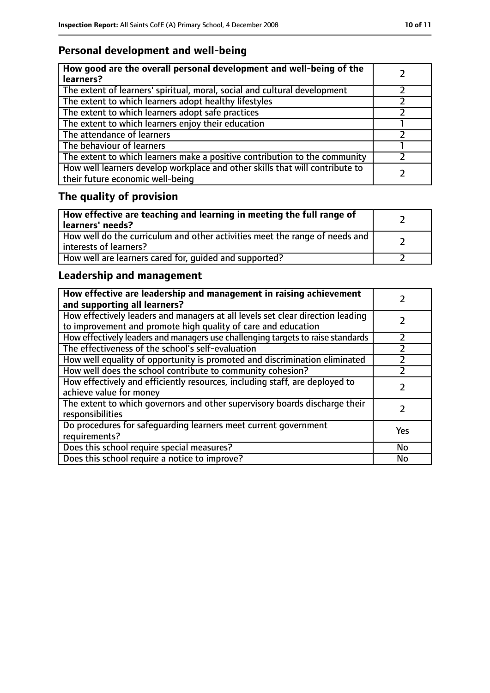# **Personal development and well-being**

| How good are the overall personal development and well-being of the<br>learners?                                 |  |
|------------------------------------------------------------------------------------------------------------------|--|
| The extent of learners' spiritual, moral, social and cultural development                                        |  |
| The extent to which learners adopt healthy lifestyles                                                            |  |
| The extent to which learners adopt safe practices                                                                |  |
| The extent to which learners enjoy their education                                                               |  |
| The attendance of learners                                                                                       |  |
| The behaviour of learners                                                                                        |  |
| The extent to which learners make a positive contribution to the community                                       |  |
| How well learners develop workplace and other skills that will contribute to<br>their future economic well-being |  |

# **The quality of provision**

| How effective are teaching and learning in meeting the full range of<br>learners' needs?              |  |
|-------------------------------------------------------------------------------------------------------|--|
| How well do the curriculum and other activities meet the range of needs and<br>interests of learners? |  |
| How well are learners cared for, quided and supported?                                                |  |

# **Leadership and management**

| How effective are leadership and management in raising achievement<br>and supporting all learners?                                              |     |
|-------------------------------------------------------------------------------------------------------------------------------------------------|-----|
| How effectively leaders and managers at all levels set clear direction leading<br>to improvement and promote high quality of care and education |     |
| How effectively leaders and managers use challenging targets to raise standards                                                                 |     |
| The effectiveness of the school's self-evaluation                                                                                               |     |
| How well equality of opportunity is promoted and discrimination eliminated                                                                      |     |
| How well does the school contribute to community cohesion?                                                                                      |     |
| How effectively and efficiently resources, including staff, are deployed to<br>achieve value for money                                          |     |
| The extent to which governors and other supervisory boards discharge their<br>responsibilities                                                  |     |
| Do procedures for safequarding learners meet current government<br>requirements?                                                                | Yes |
| Does this school require special measures?                                                                                                      | No  |
| Does this school require a notice to improve?                                                                                                   | No  |